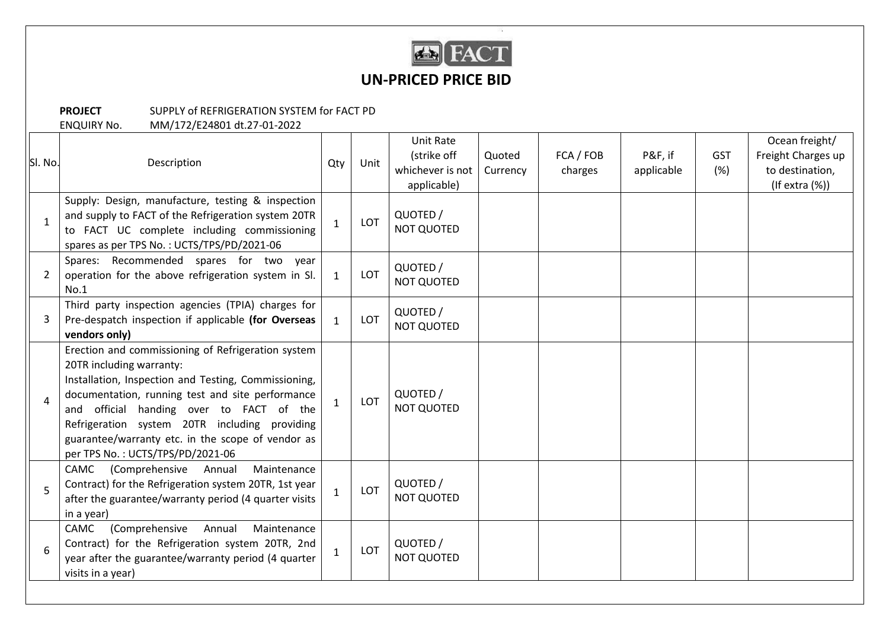

## **UN-PRICED PRICE BID**

## **PROJECT** SUPPLY of REFRIGERATION SYSTEM for FACT PD

ENQUIRY No. MM/172/E24801 dt.27-01-2022

| SI. No. | Description<br>Supply: Design, manufacture, testing & inspection                                                                                                                                                                                                                                                                                                                 | Qty          | Unit | Unit Rate<br>(strike off<br>whichever is not<br>applicable) | Quoted<br>Currency | FCA / FOB<br>charges | P&F, if<br>applicable | <b>GST</b><br>(%) | Ocean freight/<br>Freight Charges up<br>to destination,<br>$($ If extra $(\%)$ |
|---------|----------------------------------------------------------------------------------------------------------------------------------------------------------------------------------------------------------------------------------------------------------------------------------------------------------------------------------------------------------------------------------|--------------|------|-------------------------------------------------------------|--------------------|----------------------|-----------------------|-------------------|--------------------------------------------------------------------------------|
|         | and supply to FACT of the Refrigeration system 20TR<br>to FACT UC complete including commissioning<br>spares as per TPS No.: UCTS/TPS/PD/2021-06                                                                                                                                                                                                                                 | $\mathbf{1}$ | LOT  | QUOTED /<br><b>NOT QUOTED</b>                               |                    |                      |                       |                   |                                                                                |
| 2       | Spares: Recommended spares for two year<br>operation for the above refrigeration system in SI.<br>No.1                                                                                                                                                                                                                                                                           | $\mathbf{1}$ | LOT  | QUOTED /<br><b>NOT QUOTED</b>                               |                    |                      |                       |                   |                                                                                |
| 3       | Third party inspection agencies (TPIA) charges for<br>Pre-despatch inspection if applicable (for Overseas<br>vendors only)                                                                                                                                                                                                                                                       | $\mathbf{1}$ | LOT  | QUOTED /<br><b>NOT QUOTED</b>                               |                    |                      |                       |                   |                                                                                |
| 4       | Erection and commissioning of Refrigeration system<br>20TR including warranty:<br>Installation, Inspection and Testing, Commissioning,<br>documentation, running test and site performance<br>and official handing over to FACT of the<br>Refrigeration system 20TR including providing<br>guarantee/warranty etc. in the scope of vendor as<br>per TPS No.: UCTS/TPS/PD/2021-06 | $\mathbf{1}$ | LOT  | QUOTED /<br><b>NOT QUOTED</b>                               |                    |                      |                       |                   |                                                                                |
| 5       | CAMC<br>(Comprehensive<br>Annual<br>Maintenance<br>Contract) for the Refrigeration system 20TR, 1st year<br>after the guarantee/warranty period (4 quarter visits<br>in a year)                                                                                                                                                                                                  | $\mathbf{1}$ | LOT  | QUOTED /<br><b>NOT QUOTED</b>                               |                    |                      |                       |                   |                                                                                |
| 6       | (Comprehensive<br>Annual<br>CAMC<br>Maintenance<br>Contract) for the Refrigeration system 20TR, 2nd<br>year after the guarantee/warranty period (4 quarter<br>visits in a year)                                                                                                                                                                                                  | $\mathbf{1}$ | LOT  | QUOTED /<br><b>NOT QUOTED</b>                               |                    |                      |                       |                   |                                                                                |